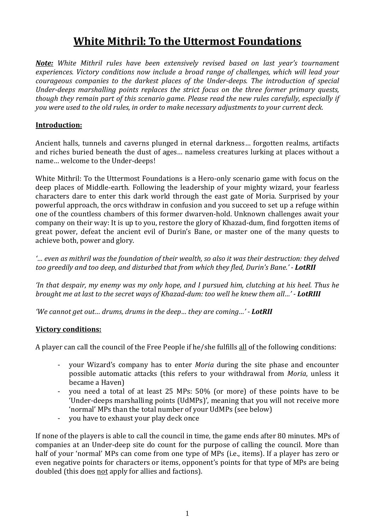# **White Mithril: To the Uttermost Foundations**

*Note: White Mithril rules have been extensively revised based on last year's tournament experiences. Victory conditions now include a broad range of challenges, which will lead your courageous companies to the darkest places of the Under-deeps. The introduction of special Under-deeps marshalling points replaces the strict focus on the three former primary quests, though they remain part of this scenario game. Please read the new rules carefully, especially if you were used to the old rules, in order to make necessary adjustments to your current deck.*

# **Introduction:**

Ancient halls, tunnels and caverns plunged in eternal darkness… forgotten realms, artifacts and riches buried beneath the dust of ages… nameless creatures lurking at places without a name… welcome to the Under-deeps!

White Mithril: To the Uttermost Foundations is a Hero-only scenario game with focus on the deep places of Middle-earth. Following the leadership of your mighty wizard, your fearless characters dare to enter this dark world through the east gate of Moria. Surprised by your powerful approach, the orcs withdraw in confusion and you succeed to set up a refuge within one of the countless chambers of this former dwarven-hold. Unknown challenges await your company on their way: It is up to you, restore the glory of Khazad-dum, find forgotten items of great power, defeat the ancient evil of Durin's Bane, or master one of the many quests to achieve both, power and glory.

*'… even as mithril was the foundation of their wealth, so also it was their destruction: they delved too greedily and too deep, and disturbed that from which they fled, Durin's Bane.' - LotRII*

*'In that despair, my enemy was my only hope, and I pursued him, clutching at his heel. Thus he brought me at last to the secret ways of Khazad-dum: too well he knew them all…' - LotRIII*

*'We cannot get out… drums, drums in the deep… they are coming…' - LotRII*

#### **Victory conditions:**

A player can call the council of the Free People if he/she fulfills all of the following conditions:

- your Wizard's company has to enter *Moria* during the site phase and encounter possible automatic attacks (this refers to your withdrawal from *Moria*, unless it became a Haven)
- you need a total of at least 25 MPs: 50% (or more) of these points have to be 'Under-deeps marshalling points (UdMPs)', meaning that you will not receive more 'normal' MPs than the total number of your UdMPs (see below)
- you have to exhaust your play deck once

If none of the players is able to call the council in time, the game ends after 80 minutes. MPs of companies at an Under-deep site do count for the purpose of calling the council. More than half of your 'normal' MPs can come from one type of MPs (i.e., items). If a player has zero or even negative points for characters or items, opponent's points for that type of MPs are being doubled (this does not apply for allies and factions).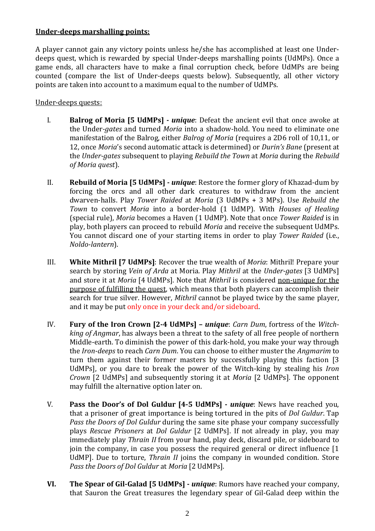## **Under-deeps marshalling points:**

A player cannot gain any victory points unless he/she has accomplished at least one Underdeeps quest, which is rewarded by special Under-deeps marshalling points (UdMPs). Once a game ends, all characters have to make a final corruption check, before UdMPs are being counted (compare the list of Under-deeps quests below). Subsequently, all other victory points are taken into account to a maximum equal to the number of UdMPs.

#### Under-deeps quests:

- I. **Balrog of Moria [5 UdMPs] -** *unique*: Defeat the ancient evil that once awoke at the Under*-gates* and turned *Moria* into a shadow-hold. You need to eliminate one manifestation of the Balrog, either *Balrog of Moria* (requires a 2D6 roll of 10,11, or 12, once *Moria*'s second automatic attack is determined) or *Durin's Bane* (present at the *Under-gates* subsequent to playing *Rebuild the Town* at *Moria* during the *Rebuild of Moria quest*).
- II. **Rebuild of Moria [5 UdMPs] -** *unique*: Restore the former glory of Khazad-dum by forcing the orcs and all other dark creatures to withdraw from the ancient dwarven-halls. Play *Tower Raided* at *Moria* (3 UdMPs + 3 MPs). Use *Rebuild the Town* to convert *Moria* into a border-hold (1 UdMP). With *Houses of Healing* (special rule), *Moria* becomes a Haven (1 UdMP). Note that once *Tower Raided* is in play, both players can proceed to rebuild *Moria* and receive the subsequent UdMPs. You cannot discard one of your starting items in order to play *Tower Raided* (i.e., *Noldo-lantern*).
- III. **White Mithril [7 UdMPs]**: Recover the true wealth of *Moria*: Mithril! Prepare your search by storing *Vein of Arda* at Moria. Play *Mithril* at the *Under-gates* [3 UdMPs] and store it at *Moria* [4 UdMPs]. Note that *Mithril* is considered non-unique for the purpose of fulfilling the quest, which means that both players can accomplish their search for true silver. However, *Mithril* cannot be played twice by the same player, and it may be put only once in your deck and/or sideboard.
- IV. **Fury of the Iron Crown [2-4 UdMPs] –** *unique*: *Carn Dum*, fortress of the *Witchking of Angmar*, has always been a threat to the safety of all free people of northern Middle-earth. To diminish the power of this dark-hold, you make your way through the *Iron-deeps* to reach *Carn Dum*. You can choose to either muster the *Angmarim* to turn them against their former masters by successfully playing this faction [3 UdMPs], or you dare to break the power of the Witch-king by stealing his *Iron Crown* [2 UdMPs] and subsequently storing it at *Moria* [2 UdMPs]. The opponent may fulfill the alternative option later on.
- V. **Pass the Door's of Dol Guldur [4-5 UdMPs] -** *unique*: News have reached you, that a prisoner of great importance is being tortured in the pits of *Dol Guldur*. Tap *Pass the Doors of Dol Guldur* during the same site phase your company successfully plays *Rescue Prisoners* at *Dol Guldur* [2 UdMPs]. If not already in play, you may immediately play *Thrain II* from your hand, play deck, discard pile, or sideboard to join the company, in case you possess the required general or direct influence [1 UdMP]. Due to torture, *Thrain II* joins the company in wounded condition. Store *Pass the Doors of Dol Guldur* at *Moria* [2 UdMPs].
- **VI. The Spear of Gil-Galad [5 UdMPs] -** *unique*: Rumors have reached your company, that Sauron the Great treasures the legendary spear of Gil-Galad deep within the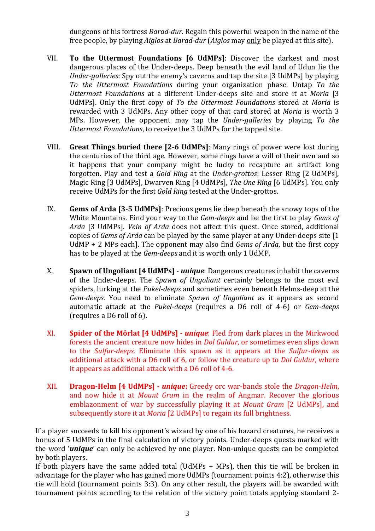dungeons of his fortress *Barad-dur*. Regain this powerful weapon in the name of the free people, by playing *Aiglos* at *Barad-dur* (*Aiglos* may only be played at this site).

- VII. **To the Uttermost Foundations [6 UdMPs]**: Discover the darkest and most dangerous places of the Under-deeps. Deep beneath the evil land of Udun lie the *Under-galleries*: Spy out the enemy's caverns and tap the site [3 UdMPs] by playing *To the Uttermost Foundations* during your organization phase. Untap *To the Uttermost Foundations* at a different Under-deeps site and store it at *Moria* [3 UdMPs]. Only the first copy of *To the Uttermost Foundations* stored at *Moria* is rewarded with 3 UdMPs. Any other copy of that card stored at *Moria* is worth 3 MPs. However, the opponent may tap the *Under-galleries* by playing *To the Uttermost Foundations*, to receive the 3 UdMPs for the tapped site.
- VIII. **Great Things buried there [2-6 UdMPs]**: Many rings of power were lost during the centuries of the third age. However, some rings have a will of their own and so it happens that your company might be lucky to recapture an artifact long forgotten. Play and test a *Gold Ring* at the *Under-grottos*: Lesser Ring [2 UdMPs], Magic Ring [3 UdMPs], Dwarven Ring [4 UdMPs], *The One Ring* [6 UdMPs]. You only receive UdMPs for the first *Gold Ring* tested at the Under-grottos.
- IX. **Gems of Arda [3-5 UdMPs]**: Precious gems lie deep beneath the snowy tops of the White Mountains. Find your way to the *Gem-deeps* and be the first to play *Gems of Arda* [3 UdMPs]. *Vein of Arda* does not affect this quest. Once stored, additional copies of *Gems of Arda* can be played by the same player at any Under-deeps site [1 UdMP + 2 MPs each]. The opponent may also find *Gems of Arda*, but the first copy has to be played at the *Gem-deeps* and it is worth only 1 UdMP.
- X. **Spawn of Ungoliant [4 UdMPs] -** *unique*: Dangerous creatures inhabit the caverns of the Under-deeps. The *Spawn of Ungoliant* certainly belongs to the most evil spiders, lurking at the *Pukel-deeps* and sometimes even beneath Helms-deep at the *Gem-deeps*. You need to eliminate *Spawn of Ungoliant* as it appears as second automatic attack at the *Pukel-deeps* (requires a D6 roll of 4-6) or *Gem-deeps* (requires a D6 roll of 6).
- XI. **Spider of the Môrlat [4 UdMPs] -** *unique*: Fled from dark places in the Mirkwood forests the ancient creature now hides in *Dol Guldur*, or sometimes even slips down to the *Sulfur-deeps*. Eliminate this spawn as it appears at the *Sulfur-deeps* as additional attack with a D6 roll of 6, or follow the creature up to *Dol Guldur*, where it appears as additional attack with a D6 roll of 4-6.
- XII. **Dragon-Helm [4 UdMPs] -** *unique***:** Greedy orc war-bands stole the *Dragon-Helm*, and now hide it at *Mount Gram* in the realm of Angmar. Recover the glorious emblazonment of war by successfully playing it at *Mount Gram* [2 UdMPs], and subsequently store it at *Moria* [2 UdMPs] to regain its full brightness.

If a player succeeds to kill his opponent's wizard by one of his hazard creatures, he receives a bonus of 5 UdMPs in the final calculation of victory points. Under-deeps quests marked with the word '*unique*' can only be achieved by one player. Non-unique quests can be completed by both players.

If both players have the same added total (UdMPs + MPs), then this tie will be broken in advantage for the player who has gained more UdMPs (tournament points 4:2), otherwise this tie will hold (tournament points 3:3). On any other result, the players will be awarded with tournament points according to the relation of the victory point totals applying standard 2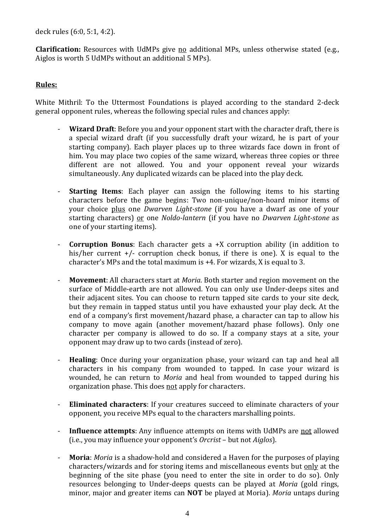deck rules (6:0, 5:1, 4:2).

**Clarification:** Resources with UdMPs give no additional MPs, unless otherwise stated (e.g., Aiglos is worth 5 UdMPs without an additional 5 MPs).

## **Rules:**

White Mithril: To the Uttermost Foundations is played according to the standard 2-deck general opponent rules, whereas the following special rules and chances apply:

- **Wizard Draft**: Before you and your opponent start with the character draft, there is a special wizard draft (if you successfully draft your wizard, he is part of your starting company). Each player places up to three wizards face down in front of him. You may place two copies of the same wizard, whereas three copies or three different are not allowed. You and your opponent reveal your wizards simultaneously. Any duplicated wizards can be placed into the play deck.
- **Starting Items**: Each player can assign the following items to his starting characters before the game begins: Two non-unique/non-hoard minor items of your choice plus one *Dwarven Light-stone* (if you have a dwarf as one of your starting characters) or one *Noldo-lantern* (if you have no *Dwarven Light-stone* as one of your starting items).
- **Corruption Bonus**: Each character gets a +X corruption ability (in addition to his/her current  $+/-$  corruption check bonus, if there is one). X is equal to the character's MPs and the total maximum is +4. For wizards, X is equal to 3.
- **Movement**: All characters start at *Moria*. Both starter and region movement on the surface of Middle-earth are not allowed. You can only use Under-deeps sites and their adjacent sites. You can choose to return tapped site cards to your site deck, but they remain in tapped status until you have exhausted your play deck. At the end of a company's first movement/hazard phase, a character can tap to allow his company to move again (another movement/hazard phase follows). Only one character per company is allowed to do so. If a company stays at a site, your opponent may draw up to two cards (instead of zero).
- **Healing**: Once during your organization phase, your wizard can tap and heal all characters in his company from wounded to tapped. In case your wizard is wounded, he can return to *Moria* and heal from wounded to tapped during his organization phase. This does not apply for characters.
- **Eliminated characters**: If your creatures succeed to eliminate characters of your opponent, you receive MPs equal to the characters marshalling points.
- **Influence attempts**: Any influence attempts on items with UdMPs are **not** allowed (i.e., you may influence your opponent's *Orcrist* – but not *Aiglos*).
- **Moria**: *Moria* is a shadow-hold and considered a Haven for the purposes of playing characters/wizards and for storing items and miscellaneous events but <u>only</u> at the beginning of the site phase (you need to enter the site in order to do so). Only resources belonging to Under-deeps quests can be played at *Moria* (gold rings, minor, major and greater items can **NOT** be played at Moria). *Moria* untaps during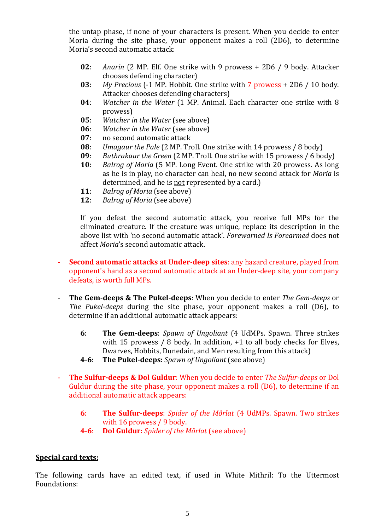the untap phase, if none of your characters is present. When you decide to enter Moria during the site phase, your opponent makes a roll (2D6), to determine Moria's second automatic attack:

- **02**: *Anarin* (2 MP. Elf. One strike with 9 prowess + 2D6 / 9 body. Attacker chooses defending character)
- **03**: *My Precious* (-1 MP. Hobbit. One strike with 7 prowess + 2D6 / 10 body. Attacker chooses defending characters)
- **04**: *Watcher in the Water* (1 MP. Animal. Each character one strike with 8 prowess)
- **05**: *Watcher in the Water* (see above)
- **06**: *Watcher in the Water* (see above)<br>**07**: **no second automatic attack**
- **07**: no second automatic attack<br>**08**: *Umagaur the Pale* (2 MP. Tre
- **08**: *Umagaur the Pale* (2 MP. Troll. One strike with 14 prowess / 8 body)
- **09**: *Buthrakaur the Green* (2 MP. Troll. One strike with 15 prowess / 6 body)
- **10**: *Balrog of Moria* (5 MP. Long Event. One strike with 20 prowess. As long as he is in play, no character can heal, no new second attack for *Moria* is determined, and he is <u>not</u> represented by a card.)
- **11**: *Balrog of Moria* (see above)
- **12**: *Balrog of Moria* (see above)

If you defeat the second automatic attack, you receive full MPs for the eliminated creature. If the creature was unique, replace its description in the above list with 'no second automatic attack'. *Forewarned Is Forearmed* does not affect *Moria*'s second automatic attack.

- **Second automatic attacks at Under-deep sites**: any hazard creature, played from opponent's hand as a second automatic attack at an Under-deep site, your company defeats, is worth full MPs.
- **The Gem-deeps & The Pukel-deeps**: When you decide to enter *The Gem-deeps* or *The Pukel-deeps* during the site phase, your opponent makes a roll (D6), to determine if an additional automatic attack appears:
	- **6**: **The Gem-deeps**: *Spawn of Ungoliant* (4 UdMPs. Spawn. Three strikes with 15 prowess / 8 body. In addition, +1 to all body checks for Elves, Dwarves, Hobbits, Dunedain, and Men resulting from this attack)
	- **4-6**: **The Pukel-deeps:** *Spawn of Ungoliant* (see above)
- **The Sulfur-deeps & Dol Guldur**: When you decide to enter *The Sulfur-deeps* or Dol Guldur during the site phase, your opponent makes a roll (D6), to determine if an additional automatic attack appears:
	- **6**: **The Sulfur-deeps**: *Spider of the Môrlat* (4 UdMPs. Spawn. Two strikes with 16 prowess / 9 body.
	- **4-6**: **Dol Guldur:** *Spider of the Môrlat* (see above)

#### **Special card texts:**

The following cards have an edited text, if used in White Mithril: To the Uttermost Foundations: